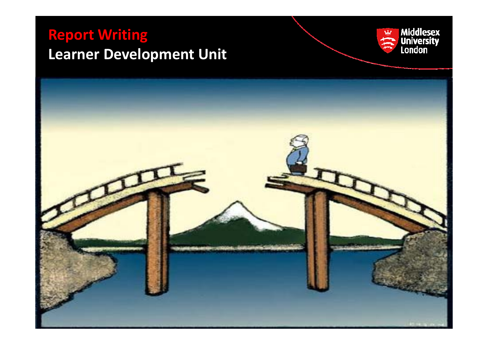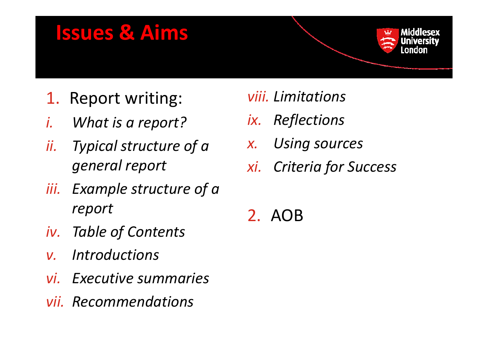### **Issues & Aims**



- *i.What is a report?*
- *ii. Typical structure of <sup>a</sup> general report*
- *iii. Example structure of <sup>a</sup> report*
- *iv. Table of Contents*
- *I di Introductions v.*
- *vi. Executive summaries*
- *vii. Recommendations*

#### *viii.*

- *ix. Reflections*
- *x.Using sources*
- *g p xi. Criteria for Success f*
	- 2. AOB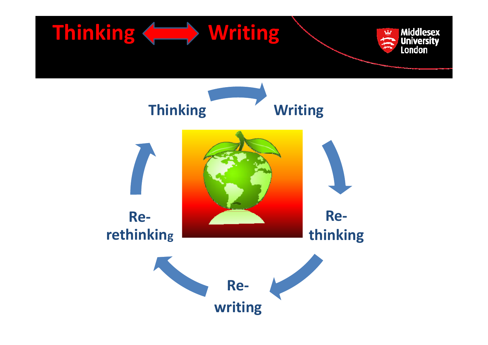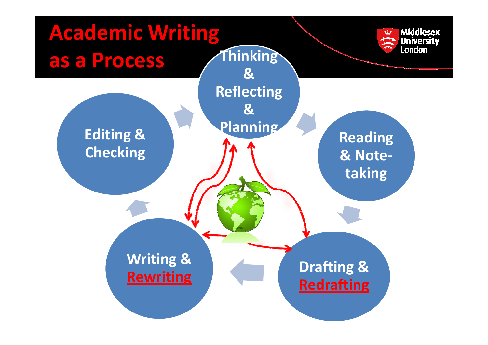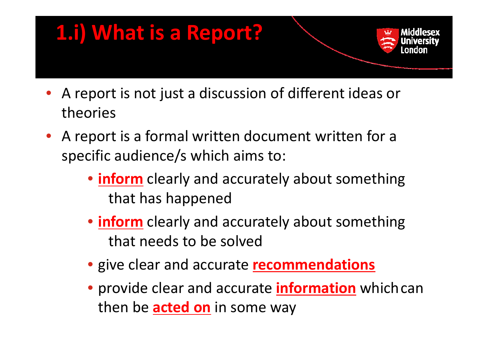

- A report is not just <sup>a</sup> discussion of different ideas or theories
- A report is a formal written document written for a specific audience/s which aims to:
	- **inform** clearly and accurately about something that has happened
	- **inform** clearly and accurately about something that needs to be solved
	- give clear and accurate **recommendations**
	- provide clear and accurate **information** whichcan then be **acted on** in some way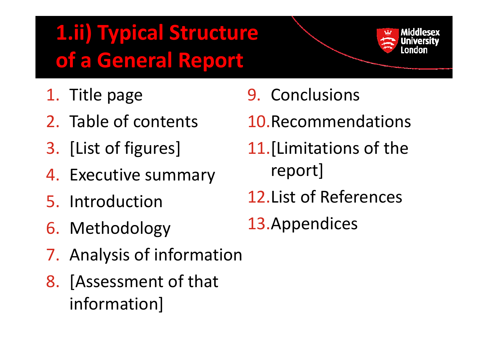### **1.ii) Typical Structure of a G l enera R <sup>t</sup> epor**

- 1. Title
- 2. Table of contents
- 3. [List of figures]
- 4. Executive summary report]
- 5. Introduction
- 6. Methodology
- 7. Analysis of information
- 8. [Assessment of that information]
- e page 59. Conclusions
	- 10.Recommendations
	- 11.[Limitations of the report]
	- 12.List of References
	- 13.Appendices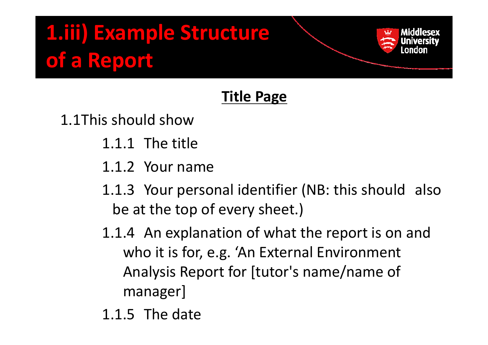#### **Title Page**

1.1This should show

- 1.1.1 The title
- 1.1.2 Your name
- 1.1.3 Your personal identifier (NB: this should also be at the top of every sheet.)
- 1.1.4 An explanation of what the report is on and who it is for, e.g. 'An External Environment Analysis Report for [tutor's name/name of manager]
- 1.1.5 The date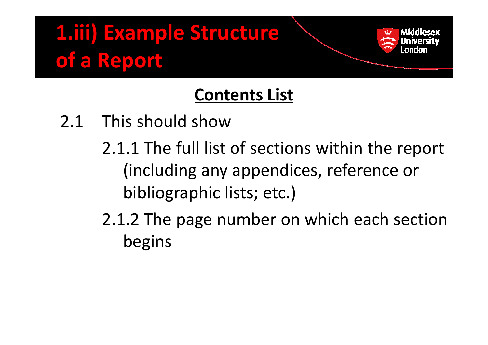### **Contents List**

- 2.1 This should show
	- 2.1.1 The full list of sections within the report (including any appendices, reference or bibliographic lists; etc.)
	- 2.1.2 The page number on which each section begins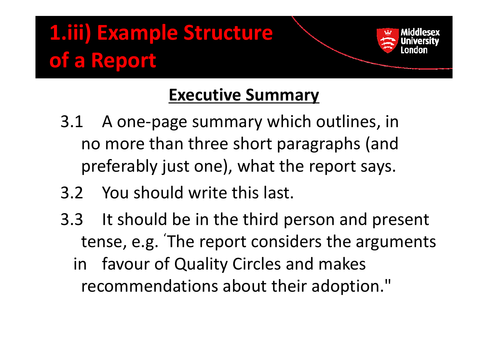### **Executive Summary**

- $3.1$ A one-page summary which outlines, in no more than three short paragraphs (and preferably just one), what the report says.
- 3.2 You should write this last.
- 3.3 It should be in the third person and present tense, e.g. 'g. The report considers the arguments in favour of Quality Circles and makes recommendations about their adoption."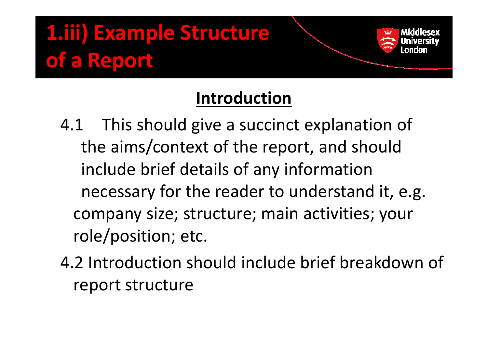### **I t d ti Introduction**

- 4.1 This should give <sup>a</sup> succinct explanation of the aims/context of the report, and should include brief details of any information necessary for the reader to understand it, e.g. company size; structure; main activities; your role/position; etc.
- 4.2 Introduction should include brief breakdown of report structure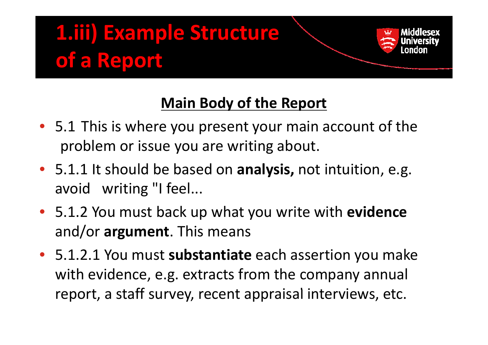

#### **Main Body of the Report**

- 5.1 This is where you present your main account of the problem or issue you are writing about.
- 5.1.1 It should be based on **analysis,** not intuition, e.g. avoid writing "I feel...
- **•** 5.1.2 You must back up what you write with evidence and/or **argument**. This means
- 5.1.2.1 You must substantiate each assertion you make with evidence, e.g. extracts from the company annual report, a staff survey, recent appraisal interviews, etc.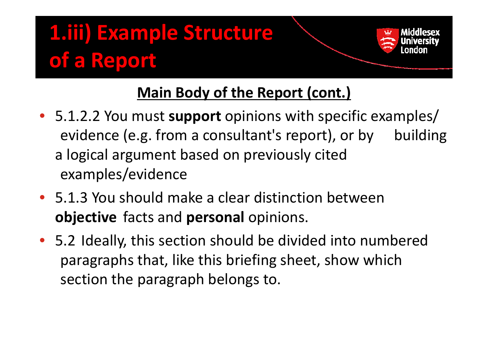#### **Main Body of the Report (cont ) (cont.)**

- 5.1.2.2 You must **support** opinions with specific examples/ evidence (e.g. from a consultant's report), or by building a logical argument based on previously cited examples/evidence
- 5.1.3 You should make <sup>a</sup> clear distinction between **objective** facts and **personal** opinions.
- 5.2 Ideally, this section should be divided into numbered paragraphs that, like this briefing sheet, show which section the paragraph belongs to.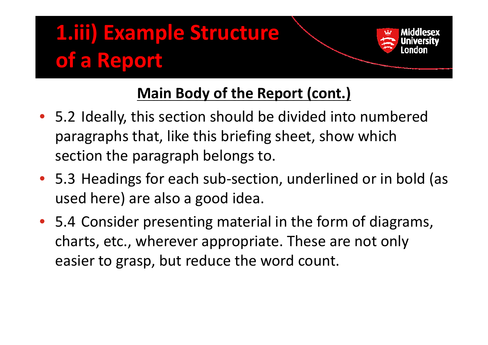#### **Main Body of the Report (cont ) (cont.)**

- 5.2 Ideally, this section should be divided into numbered paragraphs that, like this briefing sheet, show which section the paragraph belongs to.
- 5.3 Headings for each sub‐section, underlined or in bold (as used here) are also <sup>a</sup> good idea.
- 5.4 Consider presenting material in the form of diagrams, charts, etc., wherever appropriate. These are not only easier to grasp, but reduce the word count.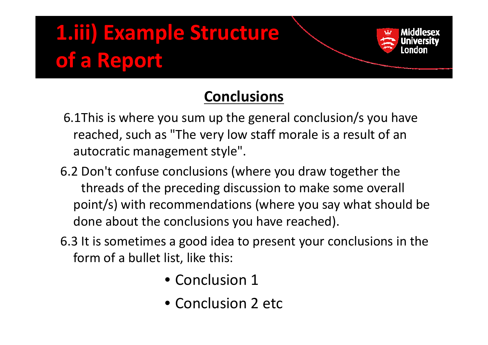

#### **Conclusions**

- 6.1This is where you sum up the general conclusion/s you have reached, such as "The very low staff morale is a result of an autocratic management style".
- 6.2 Don't confuse conclusions (where you draw together the threads of the preceding discussion to make some overall point/s) with recommendations (where you say what should be done about the conclusions you have reached).
- 6.3 It is sometimes a good idea to present your conclusions in the form of <sup>a</sup> bullet list, like this:
	- Conclusion 1
	- Conclusion 2 etc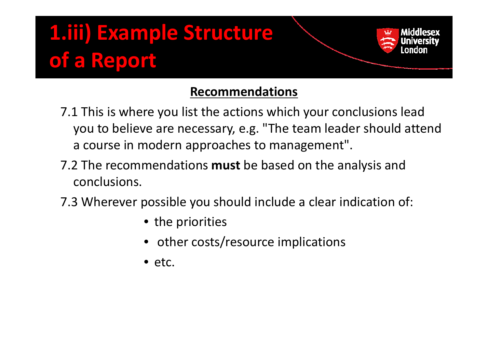#### **Recommendations**

- 7.1 This is where you list the actions which your conclusions lead you to believe are necessary, e.g. "The team leader should attend a course in modern approaches to management".
- 7.2 The recommendations **must** be based on the analysis and conclusions.
- 7.3 Wherever possible you should include <sup>a</sup> clear indication of:
	- the priorities
	- other costs/resource implications
	- etc.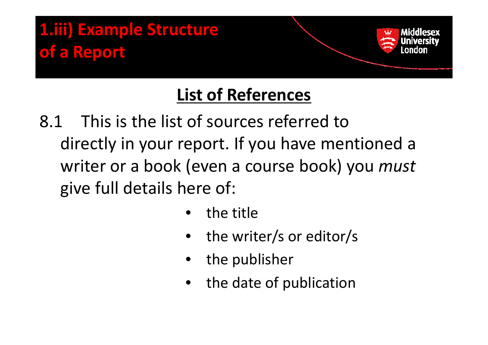### **List of References**

- 8.1 This is the list of sources referred todirectly in your report. If you have mentioned <sup>a</sup> writer or a book (even <sup>a</sup> course book) you *must* give full details here of:
	- •• the title
	- •• the writer/s or editor/s
	- $\bullet$  $\bullet$  the publisher
	- •• the date of publication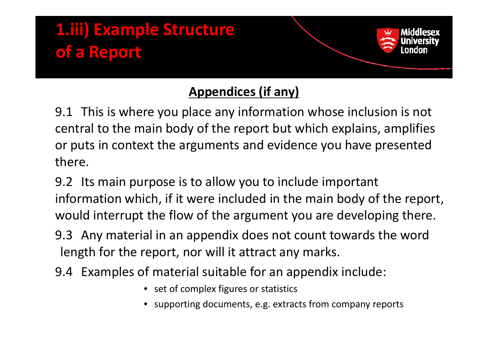

#### **Appendices (if any)**

9.1 This is where you place any information whose inclusion is not central to the main body of the report but which explains, amplifies or puts in context the arguments and evidence you have presented there.

9.2 Its main purpose is to allow you to include important information which, if it were included in the main body of the report, would interrupt the flow of the argument you are developing there.

9.3 Any material in an appendix does not count towards the word length for the report, nor will it attract any marks.

- 9.4 Examples of material suitable for an appendix include:
	- set of complex figures or statistics
	- •supporting documents, e.g. extracts from company reports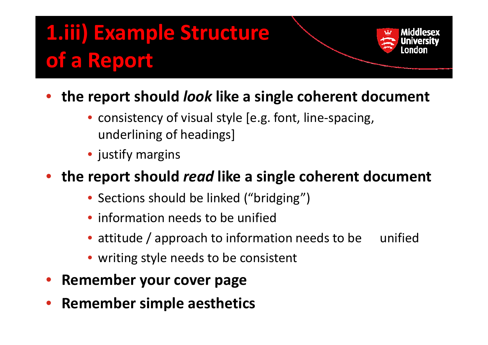- • **the report should** *look* **like <sup>a</sup> single coherent document**
	- consistency of visual style [e.g. font, line‐spacing, underlining of headings]
	- justify margins

#### •**•** the report should *read* like a single coherent document

- Sections should be linked ("bridging")
- information needs to be unified
- attitude / approach to information needs to be unified
- writing style needs to be consistent
- $\bullet$ **Remember your cover page**
- $\bullet$ **Remember simple aesthetics**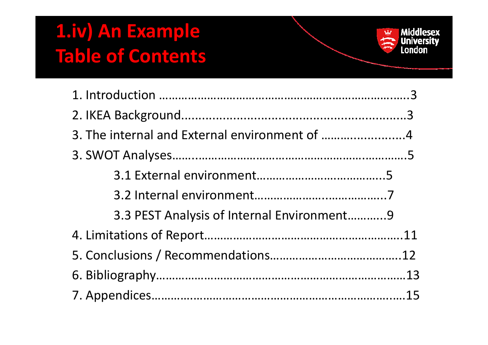### **1.iv) An Example Table of Contents**

| 3. The internal and External environment of 4 |  |
|-----------------------------------------------|--|
|                                               |  |
|                                               |  |
|                                               |  |
| 3.3 PEST Analysis of Internal Environment9    |  |
|                                               |  |
|                                               |  |
|                                               |  |
|                                               |  |

Middlesex<br>
University<br>
London

 $\mathbf{u}$ 行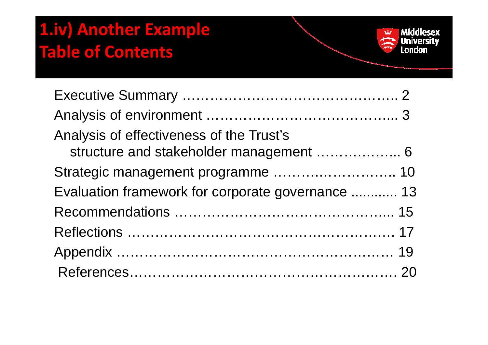### **1.iv) Another Example Table of Contents**

| Analysis of effectiveness of the Trust's          |  |
|---------------------------------------------------|--|
| Strategic management programme  10                |  |
| Evaluation framework for corporate governance  13 |  |
|                                                   |  |
|                                                   |  |
|                                                   |  |
|                                                   |  |

Middlesex<br>
University<br>
London

 $\mathbf{F}$ 计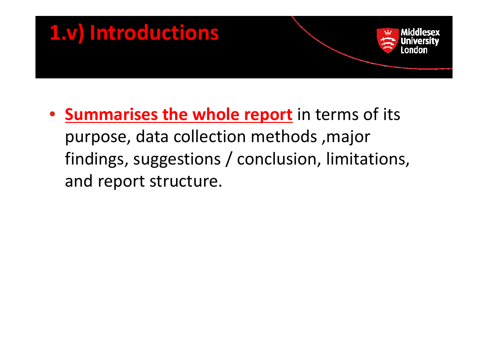

• **Summarises the whole report** in terms of its purpose, data collection methods, major findings, suggestions / conclusion, limitations, and report structure.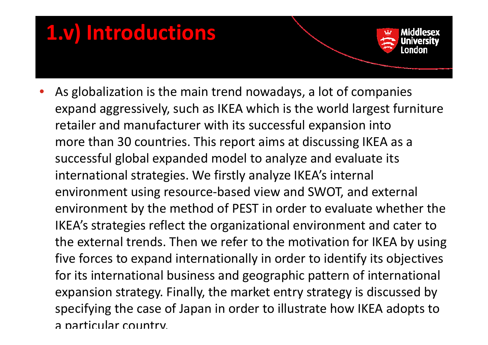### **1.v) Introductions**

•As globalization is the main trend nowadays, a lot of companies expand aggressively, such as IKEA which is the world largest furniture retailer and manufacturer with its successful expansion into more than 30 countries. This report aims at discussing IKEA as <sup>a</sup> successful global expanded model to analyze and evaluate its international strategies. We firstly analyze IKEA's internal environment using resource‐based view and SWOT, and external environment by the method of PEST in order to evaluate whether the IKEA's strategies reflect the organizational environment and cater to the external trends. Then we refer to the motivation for IKEA by using five forces to expand internationally in order to identify its objectives for its international business and geographic pattern of international expansion strategy. Finally, the market entry strategy is discussed by specifying the case of Japan in order to illustrate how IKEA adopts to a particular country.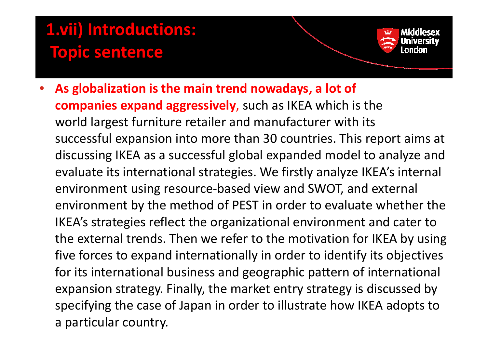### **1.vii) Introductions: Topic sentence**

• **As globalization is the main trend nowaday ,s <sup>a</sup> lot of companies expand aggressively**, such as IKEA which is the world largest furniture retailer and manufacturer with its successful expansion into more than 30 countries. This report aims at discussing IKEA as <sup>a</sup> successful global expanded model to analyze and evaluate its international strategies. We firstly analyze IKEA's internal environment using resource‐based view and SWOT, and external environment by the method of PEST in order to evaluate whether the IKEA's strategies reflect the organizational environment and cater to the external trends. Then we refer to the motivation for IKEA by using five forces to expand internationally in order to identify its objectives for its international business and geographic pattern of international expansion strategy. Finally, the market entry strategy is discussed by specifying the case of Japan in order to illustrate how IKEA adopts to a particular country.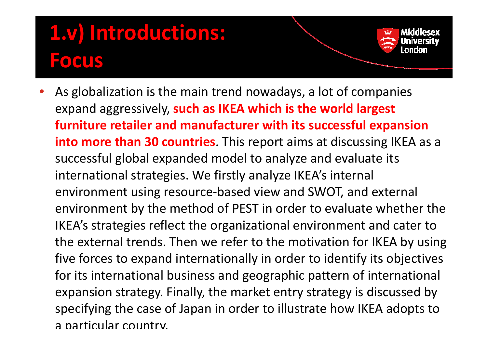## **1.v) Introductions:**

#### **Focus**

•As globalization is the main trend nowadays, a lot of companies expand aggressively, **such as IKEA which is the world largest furniture retailer and manufacturer with its successful expansion into more than 30 countries**. This report aims at discussing IKEA as <sup>a</sup> successful global expanded model to analyze and evaluate its international strategies. We firstly analyze IKEA's internal environment using resource‐based view and SWOT, and external environment by the method of PEST in order to evaluate whether the IKEA's strategies reflect the organizational environment and cater to the external trends. Then we refer to the motivation for IKEA by using five forces to expand internationally in order to identify its objectives for its international business and geographic pattern of international expansion strategy. Finally, the market entry strategy is discussed by specifying the case of Japan in order to illustrate how IKEA adopts to a particular country.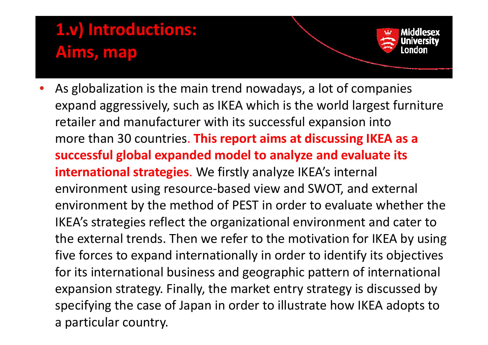### **1.v) Introductions: Aims, map**

• $\bullet$  As globalization is the main trend nowadays, a lot of companies expand aggressively, such as IKEA which is the world largest furniture retailer and manufacturer with its successful expansion into more than 30 countries. **This report aims at discussing IKEA as <sup>a</sup> successful global expanded model to analyze and evaluate its international strategies**. We firstly analyze IKEA's internal environment using resource‐based view and SWOT, and external environment by the method of PEST in order to evaluate whether the IKEA's strategies reflect the organizational environment and cater to the external trends. Then we refer to the motivation for IKEA by using five forces to expand internationally in order to identify its objectives for its international business and geographic pattern of international expansion strategy. Finally, the market entry strategy is discussed by specifying the case of Japan in order to illustrate how IKEA adopts to a particular country.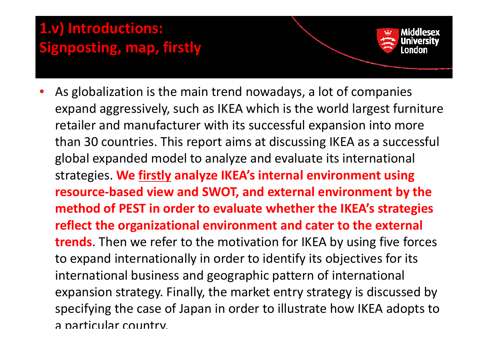#### **1.v) Introductions: Sigp g <sup>n</sup> osting, map, firstly**

•As globalization is the main trend nowadays, a lot of companies expand aggressively, such as IKEA which is the world largest furniture retailer and manufacturer with its successful expansion into more than 30 countries. This report aims at discussing IKEA as <sup>a</sup> successful global expanded model to analyze and evaluate its international stt i ra eg es. **We fi tl rs y analyze IKEA's it l <sup>n</sup> ernalenvi <sup>t</sup> ronmentusing resource‐based view and SWOT, and external environment by the method of PEST in order to evaluate whether the IKEA s' strategies reflect the organizational environment and cater to the external trends**. Then we refer to the motivation for IKEA by using five forces to expand internationally in order to identify its objectives for its international business and geographic pattern of international expansion strategy. Finally, the market entry strategy is discussed by specifying the case of Japan in order to illustrate how IKEA adopts to a particular country.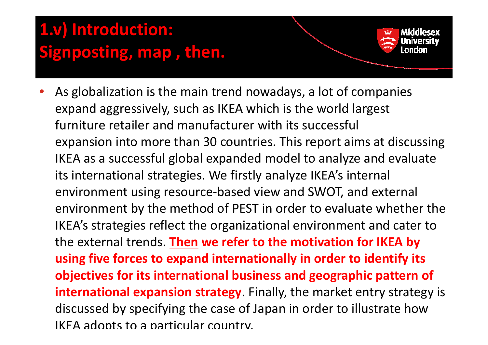### **1.v) Introduction: Signposting, map , then.**

•

As globalization is the main trend nowadays, a lot of companies expand aggressively, such as IKEA which is the world largest furniture retailer and manufacturer with its successful expansion into more than 30 countries. This report aims at discussing IKEA as <sup>a</sup> successful global expanded model to analyze and evaluate its international strategies. We firstly analyze IKEA's internal environment using resource‐based view and SWOT, and external environment by the method of PEST in order to evaluate whether the IKEA's strategies reflect the organizational environment and cater to the external trends. **Then we refer to the motivation for IKEA by using five forces to expand internationally in order to identify its objectives for its international business and geographic pattern of international expansion strategy**. Finally, the market entry strategy is discussed by specifying the case of Japan in order to illustrate how IKEA adopts to <sup>a</sup> particular country.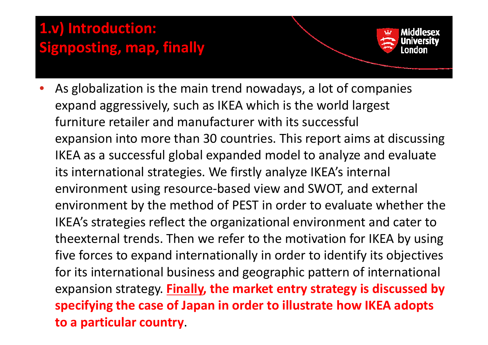#### **1.v) Introduction: Signposting, map, finally**

• $\bullet$  As globalization is the main trend nowadays, a lot of companies expand aggressively, such as IKEA which is the world largest furniture retailer and manufacturer with its successful expansion into more than 30 countries. This report aims at discussing IKEA as <sup>a</sup> successful global expanded model to analyze and evaluate its international strategies. We firstly analyze IKEA's internal environment using resource‐based view and SWOT, and external environment by the method of PEST in order to evaluate whether the IKEA's strategies reflect the organizational environment and cater to theexternal trends. Then we refer to the motivation for IKEA by using five forces to expand internationally in order to identify its objectives for its international business and geographic pattern of international **expansion strategy. Finally, the market entry strategy is discussed by specifying the case of Japan in order to illustrate how IKEA adopts to <sup>a</sup> particular country**.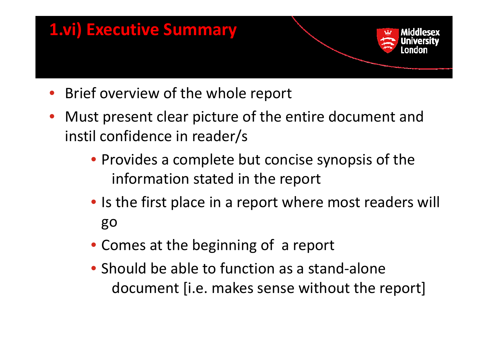

- •Brief overview of the whole report
- Must present clear picture of the entire document and instil confidence in reader/s
	- Provides a complete but concise synopsis of the information stated in the report
	- Is the first place in <sup>a</sup> report where most readers will go
	- Comes at the beginning of a report
	- Should be able to function as <sup>a</sup> stand‐alone document [i.e. makes sense without the report]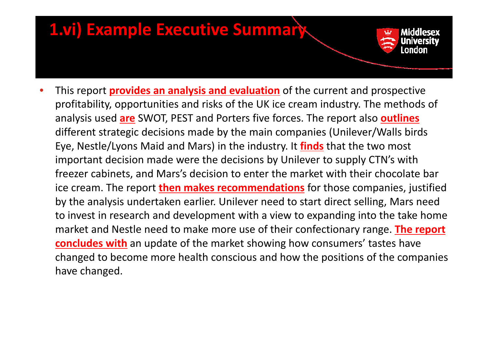

•• This report **provides an analysis and evaluation** of the current and prospective profitability, opportunities and risks of the UK ice cream industry. The methods of analysis used **are** SWOT, PEST and Porters five forces. The report also **outlines** different strategic decisions made by the main companies (Unilever/Walls birds Eye, Nestle/Lyons Maid and Mars) in the industry. It **finds** that the two most important decision made were the decisions by Unilever to supply CTN's with freezer cabinets, and Mars's decision to enter the market with their chocolate bar ice cream. The report **then makes recommendations** for those companies, justified by the analysis undertaken earlier. Unilever need to start direct selling, Mars need to invest in research and development with a view to expanding into the take home market and Nestle need to make more use of their confectionary range. **The report concludes with** an update of the market showing how consumers' tastes have changed to become more health conscious and how the positions of the companies have changed.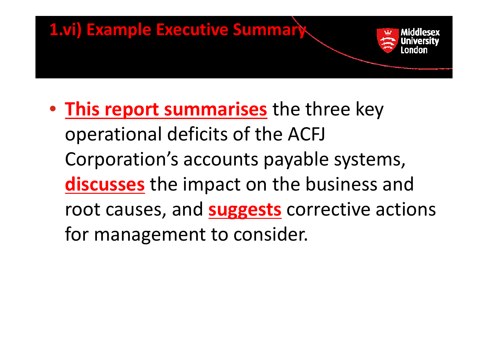

• **This report summarises** the three key operational deficits of the ACFJ Corporation's accounts payable systems, **discusses** the impact on the business and root causes, and **suggests** corrective actions for management to consider.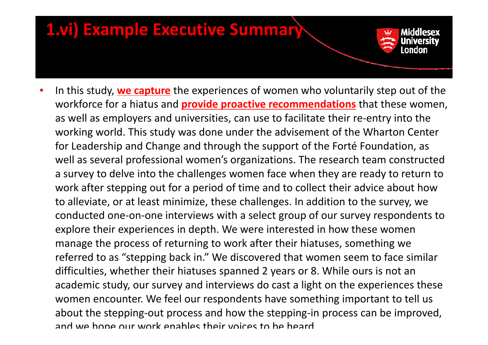

•**•** In this study, <u>we capture</u> the experiences of women who voluntarily step out of the workforce for <sup>a</sup> hiatus and **provide proactive recommendations** that these women, as well as employers and universities, can use to facilitate their re‐entry into the working world. This study was done under the advisement of the Wharton Center for Leadership and Change and through the support of the Forté Foundation, as well as several professional women's organizations. The research team constructed a survey to delve into the challenges women face when they are ready to return to work after stepping out for <sup>a</sup> period of time and to collect their advice about how to alleviate, or at least minimize, these challenges. In addition to the survey, we conducted one‐on‐one interviews with a select group of our survey respondents to explore their experiences in depth. We were interested in how these women manage the process of returning to work after their hiatuses, something we referred to as "stepping back in." We discovered that women seem to face similar difficulties, whether their hiatuses spanned 2 years or 8. While ours is not an academic study, our survey and interviews do cast <sup>a</sup> light on the experiences these women encounter. We feel our respondents have something important to tell us about the stepping‐out process and how the stepping‐in process can be improved, and we hope our work enables their voices to be heard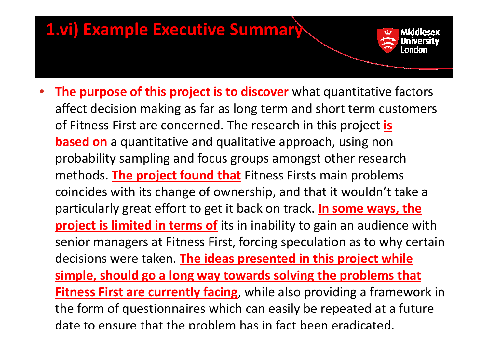

• **The purpose of this project is to discover** what quantitative factors affect decision making as far as long term and short term customers of Fitness First are concerned. The research in this project **is based on** <sup>a</sup> quantitative and qualitative approach, using non probability sampling and focus groups amongst other research meth do s. **The proj <sup>t</sup> ec f d oun th <sup>t</sup> <sup>a</sup>** Fitness Fi <sup>t</sup> rs <sup>s</sup> main problems coincides with its change of ownership, and that it wouldn't take <sup>a</sup> particularly great effort to get it back on track. **In some ways, the project is limited in terms of** its in inability to gain an audience with senior managers at Fitness First, forcing speculation as to why certain decisions were taken. **The ideas presented in this project while simple, should go <sup>a</sup> long way towards solving the problems that <u>Eitness First are currently facing</u>**, while also providing a framework in the form of questionnaires which can easily be repeated at <sup>a</sup> future date to ensure that the problem has in fact been eradicated.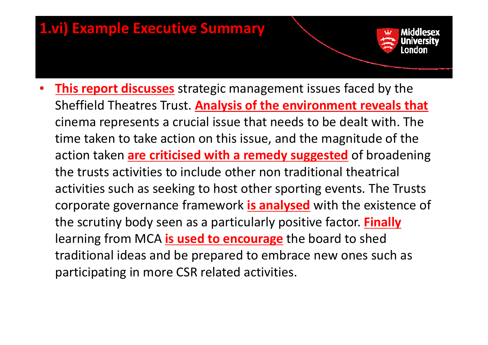- 
- • **This report discusses** strategic management issues faced by the Sheffield Theatres Trust. **Analysis of the environment reveals that** cinema represents <sup>a</sup> crucial issue that needs to be dealt with. The time taken to take action on this issue, and the magnitude of the action taken **are criticised with <sup>a</sup> remedy suggested** of broadening the trusts activities to include other non traditional theatrical activities such as seeking to host other sporting events. The Trusts corporate governance framework **is analysed** with the existence of the scrutiny body seen as <sup>a</sup> particularly positive factor. **Finally** learning from MCA **is used to encourage** the board to shed traditional ideas and be prepared to embrace new ones such as participating in more CSR related activities.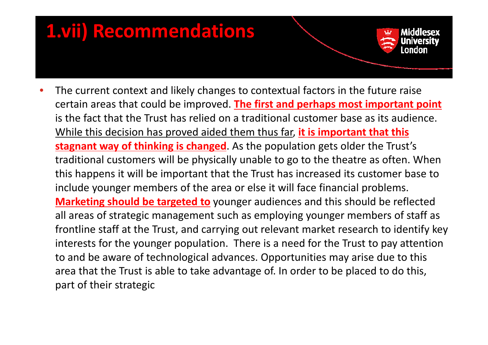### **1.vii) Recommendations**

• $\bullet$  The current context and likely changes to contextual factors in the future raise certain areas that could be improved. **The first and perhaps most important point** is the fact that the Trust has relied on <sup>a</sup> traditional customer base as its audience. While this decision has proved aided them thus far, **it is important that this stagnant way of thinking is changed**. As the population gets older the Trust's traditional customers will be physically unable to go to the theatre as often. When this happens it will be important that the Trust has increased its customer base to include younger members of the area or else it will face financial problems. **Marketing should be targeted to** younger audiences and this should be reflected all areas of strategic management such as employing younger members of staff as frontline staff at the Trust, and carrying out relevant market research to identify key interests for the younger population. There is <sup>a</sup> need for the Trust to pay attention to and be aware of technological advances. Opportunities may arise due to this area that the Trust is able to take advantage of. In order to be placed to do this, part of their strategic

Middlesex

andon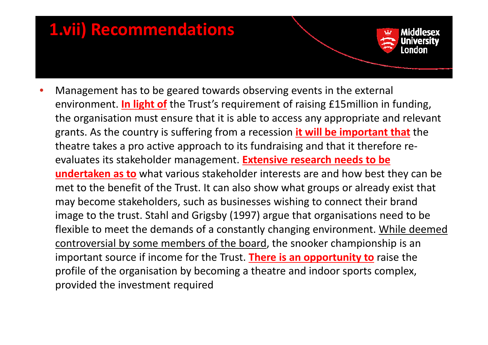### **1.vii) Recommendations**

•Management has to be geared towards observing events in the external environment. **In light of** the Trust's requirement of raising £15million in funding, the organisation must ensure that it is able to access any appropriate and relevant grants. As the country is suffering from <sup>a</sup> recession **it will be important that** the theatre takes <sup>a</sup> pro active approach to its fundraising and that it therefore re‐ evaluates its stakeholder management. **Extensive research needs to be undertaken as to** what various stakeholder interests are and how best they can be met to the benefit of the Trust. It can also show what groups or already exist that may become stakeholders, such as businesses wishing to connect their brand image to the trust. Stahl and Grigsby (1997) argue that organisations need to be flexible to meet the demands of a constantly changing environment. While deemed controversial by some members of the board, the snooker championship is an important source if income for the Trust. **There is an opportunity to** raise the profile of the organisation by becoming <sup>a</sup> theatre and indoor sports complex, provided the investment required

Middlesex

andan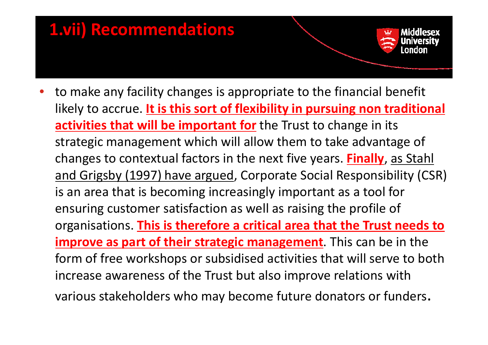### **1.vii) Recommendations**

•• to make any facility changes is appropriate to the financial benefit likely to accrue. **It is this sort of flexibility in pursuing non traditional activities that will be important for** the Trust to change in its strategic management which will allow them to take advantage of changes to contextual factors in the next five years. **Finally**, as Stahl <u>and Grigsby (1997) have argued</u>, Corporate Social Responsibility (CSR) is an area that is becoming increasingly important as <sup>a</sup> tool for ensuring customer satisfaction as well as raising the profile of organisations. **This is therefore <sup>a</sup> critical area that the Trust needs to improve as part of their strategic management**. This can be in the form of free workshops or subsidised activities that will serve to both increase awareness of the Trust but also improve relations with various stakeholders who may become future donators or funders.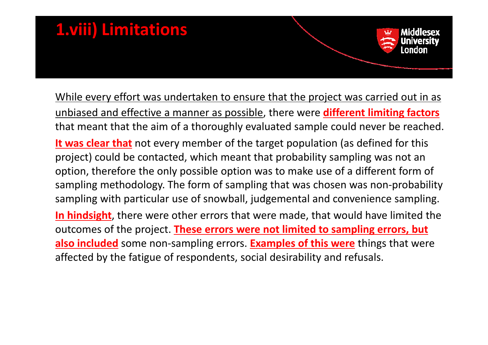### **1.viii) Limitations**

<u>While every effort was undertaken to ensure that the project was carried out in as</u> unbiased and effective <sup>a</sup> manner as possible, there were **different limiting factors** that meant that the aim of <sup>a</sup> thoroughly evaluated sample could never be reached. **It was clear that** not every member of the target population (as defined for this

Middlesex

nndon

project) could be contacted, which meant that probability sampling was not an option, therefore the only possible option was to make use of <sup>a</sup> different form of sampling methodology. The form of sampling that was chosen was non‐probability sampling with particular use of snowball, judgemental and convenience sampling.

**In hindsight**, there were other errors that were made, that would have limited the outcomes of the project. **These errors were not limited to sampling errors, but also included** some non‐sampling errors. **Examples of this were** things that were affected by the fatigue of respondents, social desirability and refusals.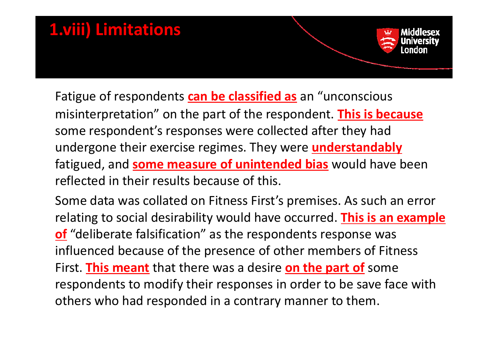# **1.viii) Limitations**

Fatigue of respondents **can be classified as** an "unconscious misinterpretation" on the part of the respondent. **This is because** some respondent's responses were collected after they had undergone their exercise regimes. They were **understandably** fatigued, and **some measure of unintended bias** would have been reflected in their results because of this.

Some data was collated on Fitness First's premises. As such an error relating to social desirability would have occurred. **This is an example of** "deliberate falsification" as the respondents response was influenced because of the presence of other members of Fitness First. **This meant** that there was <sup>a</sup> desire **on the part of** some respondents to modify their responses in order to be save face with others who had responded in <sup>a</sup> contrary manner to them.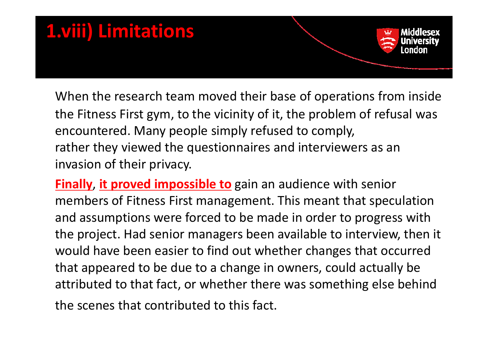

When the research team moved their base of operations from inside the Fitness First gym, to the vicinity of it, the problem of refusal was encountered. Many people simply refused to comply, rather they viewed the questionnaires and interviewers as an invasion of their privacy.

**Finally**, **it proved impossible to** gain an audience with senior members of Fitness First management. This meant that speculation and assumptions were forced to be made in order to progress with the project. Had senior managers been available to interview, then it would have been easier to find out whether changes that occurred that appeared to be due to <sup>a</sup> change in owners, could actually be attributed to that fact, or whether there was something else behind the scenes that contributed to this fact.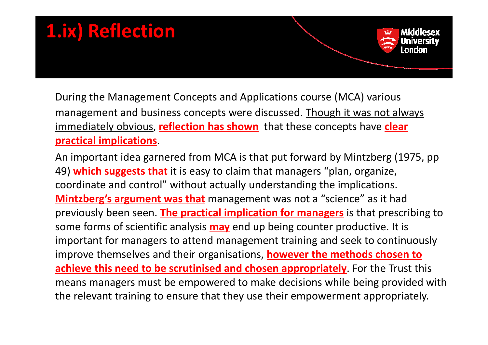### **1.ix) Reflection** Middlesex andan

During the Management Concepts and Applications course (MCA) various management and business concepts were discussed. Though it was not always immediately obvious, **reflection has shown** that these concepts have **clear practical implications**.

An important idea garnered from MCA is that put forward by Mintzberg (1975, pp 49) which suggests that it is easy to claim that managers "plan, organize, coordinate and control" without actually understanding the implications. **Mintzberg's argument was that** management was not a "science" as it had previously been seen. **The practical implication for managers** is that prescribing to some forms of scientific analysis **may** end up being counter productive. It is important for managers to attend management training and seek to continuously improve themselves and their organisations, **however the methods chosen to achieve this need to be scrutinised and chosen appropriately**. For the Trust this means managers must be empowered to make decisions while being provided with the relevant training to ensure that they use their empowerment appropriately.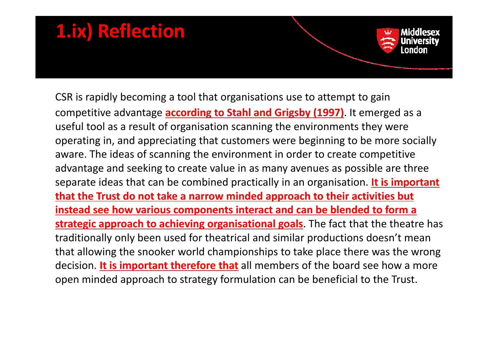### **1.ix) Reflection**

CSR is rapidly becoming a tool that organisations use to attempt to gain competitive advantage **according to Stahl and Grigsby (1997)**. It emerged as <sup>a</sup> useful tool as a result of organisation scanning the environments they were operating in, and appreciating that customers were beginning to be more socially aware. The ideas of scanning the environment in order to create competitive advantage and seeking to create value in as many avenues as possible are three separate ideas that can be combined practically in an organisation. **It is important that the Trust do not take <sup>a</sup> narrow minded approach to their activities but instead see how various components interact and can be blended to form <sup>a</sup> strategic approach to achieving organisational goals**. The fact that the theatre has traditionally only been used for theatrical and similar productions doesn't mean that allowing the snooker world championships to take place there was the wrong decision. **It is important therefore that** all members of the board see how <sup>a</sup> more open minded approach to strategy formulation can be beneficial to the Trust.

Middlesex

landan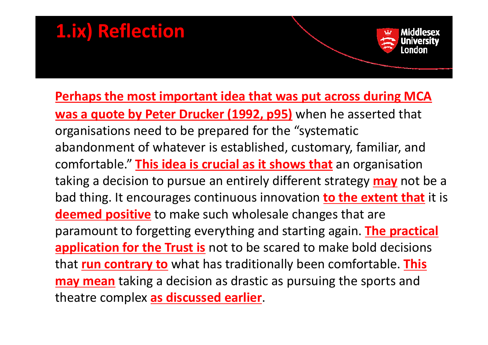### **1.ix) Reflection**

**Perhaps the most important idea that was put across during MCA was a quote by Peter Drucker (1992, p95)** when he asserted that organisations need to be prepared for the "systematic abandonment of whatever is established, customary, familiar, and comfortable." **This idea is crucial as it shows that** an organisation taking <sup>a</sup> decision to pursue an entirely different strategy **may** not be <sup>a</sup> bad thing. It encourages continuous innovation **to the extent that** it is **deemed positive** to make such wholesale changes that are paramount to forgetting everything and starting again. **The practical application for the Trust is** not to be scared to make bold decisions that **run contrary to** what has traditionally been comfortable. **This may mean** taking <sup>a</sup> decision as drastic as pursuing the sports and theatre complex **as discussed earlier**.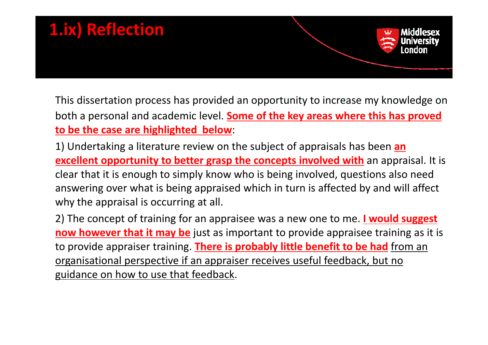

This dissertation process has provided an opportunity to increase my knowledge on both <sup>a</sup> personal and academic level. **Some of the key areas where this has proved to be the case are highlighted below**:

1) Undertaking <sup>a</sup> literature review on the subject of appraisals has been **an excellent opportunity to better grasp the concepts involved with** an appraisal. It is clear that it is enough to simply know who is being involved, questions also need answering over what is being appraised which in turn is affected by and will affect why the appraisal is occurring at all.

2) The concept of training for an appraisee was <sup>a</sup> new one to me. **I would suggest now however that it may be** just as important to provide appraisee training as it is to provide appraiser training. **There is p y robablylittle benefit to be had** from an organisational perspective if an appraiser receives useful feedback, but no guidance on how to use that feedback.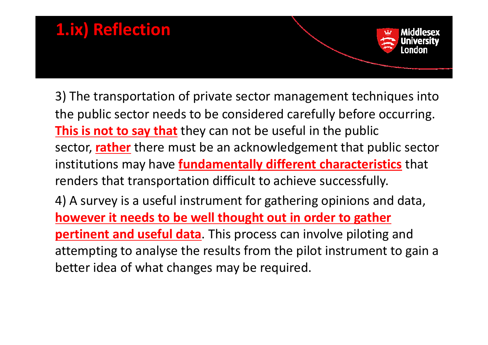# **1.ix) Reflection**

3) The transportation of private sector management techniques into the public sector needs to be considered carefully before occurring. **This is not to say that** they can not be useful in the public sector, **rather** there must be an acknowledgement that public sector institutions may have **fundamentally different characteristics** that renders that transportation difficult to achieve successfully.

4) A survey is <sup>a</sup> useful instrument for gathering opinions and data, **however it needs to be well thought out in order to gather pertinent and useful data**. This process can involve piloting and attempting to analyse the results from the pilot instrument to gain <sup>a</sup> better idea of what changes may be required.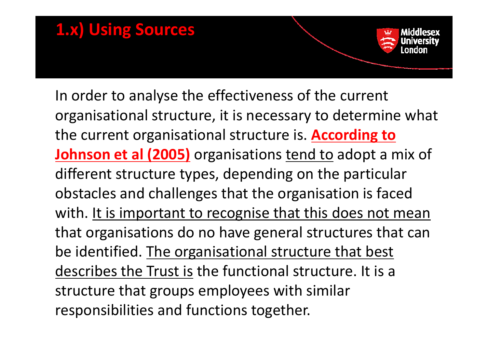# **1.x) Using Sources**

In order to analyse the effectiveness of the current organisational structure, it is necessary to determine what the current organisational structure is. **According to Johnson et al (2005)** organisations tend to adopt <sup>a</sup> mix of different structure types, depending on the particular obstacles and challenges that the organisation is faced with. <u>It is important to recognise that this does not mean</u> that organisations do no have general structures that can be identified. The organisational structure that best describes the Trust is the functional structure. It is <sup>a</sup> structure that groups employees with similar responsibilities and functions together.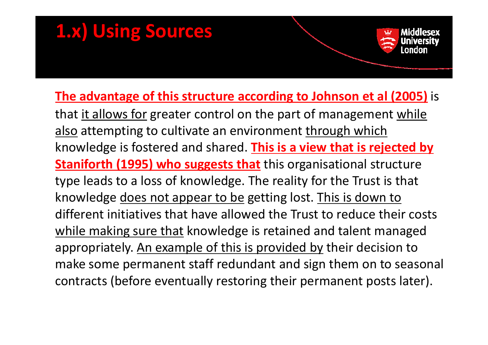### **1.x) Using Sources**

#### **The advantage of this structure according to Johnson et al (2005)** is that <u>it allows for</u> greater control on the part of management <u>while</u> also attempting to cultivate an environment <u>through which</u> knowledge is fostered and shared. **This is <sup>a</sup> view that is rejected by Staniforth (1995) who suggests that** this organisational structure type leads to <sup>a</sup> loss of knowledge. The reality for the Trust is that knowledge does not appear to be getting lost. This is down to different initiatives that have allowed the Trust to reduce their costs while making sure that knowledge is retained and talent managed appropriately. An example of this is provided by their decision to make some permanent staff redundant and sign them on to seasonal contracts (before eventually restoring their permanent posts later).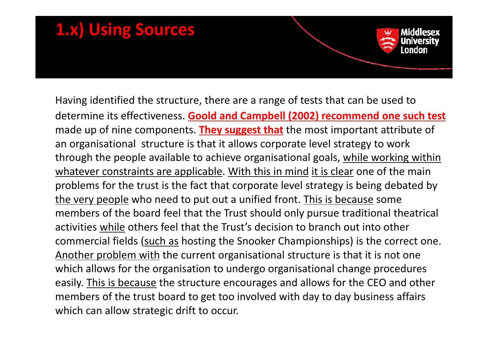### **1.x) Using Sources** Middlesex andan

Having identified the structure, there are <sup>a</sup> range of tests that can be used to determine its effectiveness. **Goold and Campbell (2002) recommend one such test** made up of nine components. **They suggest that** the most important attribute of an organisational structure is that it allows corporate level strategy to work through the people available to achieve organisational goals, while working within <u>whatever constraints are applicable. With this in mind it is clear</u> one of the main problems for the trust is the fact that corporate level strategy is being debated by the very people who need to put out a unified front. This is because some members of the board feel that the Trust should only pursue traditional theatrical activities while others feel that the Trust's decision to branch out into other commercial fields (such as hosting the Snooker Championships) is the correct one. Another problem with the current organisational structure is that it is not one which allows for the organisation to undergo organisational change procedures easily. This is because the structure encourages and allows for the CEO and other members of the trust board to get too involved with day to day business affairs which can allow strategic drift to occur.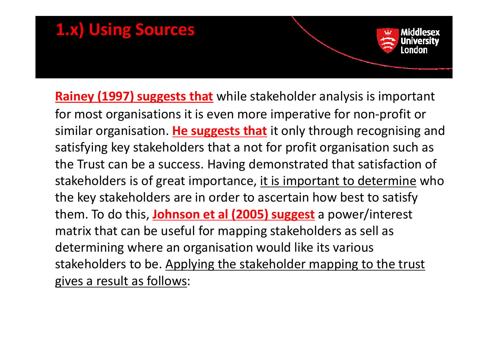### **1.x) Using Sources**

**Rainey (1997) suggests that** while stakeholder analysis is important for most organisations it is even more imperative for non‐profit or similar organisation. <mark>He suggests that</mark> it only through recognising and satisfying key stakeholders that <sup>a</sup> not for profit organisation such as the Trust can be <sup>a</sup> success. Having demonstrated that satisfaction of stakeholders is of great importance, <u>it is important to determine</u> who the key stakeholders are in order to ascertain how best to satisfy them. To do this, *Johnson et al (2005) suggest* a power/interest matrix that can be useful for mapping stakeholders as sell as determining where an organisation would like its various stakeholders to be. Applying the stakeholder mapping to the trust gives <sup>a</sup> result as follows: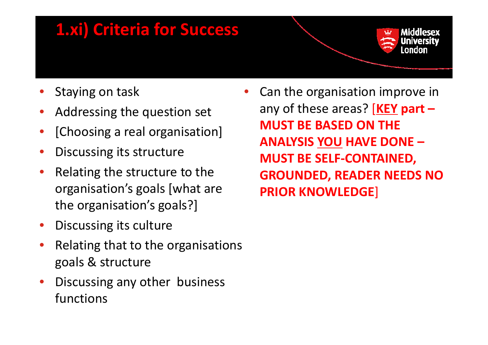### **1.xi) Criteria for Success**



- •
- •Addressing the question set
- •[Choosing <sup>a</sup> real organisation]
- •Discussing its structure
- • Relating the structure to the organisation's goals [what are the organisation's goals?]
- •Discussing its culture
- • Relating that to the organisations goals & structure
- • Discussing any other business functions

Staying on task **• Can the organisation improve in** any of these areas? [**KEY part – MUST BE BASED ON THE ANALYSIS YOU HAVE DONE – MUST BE SELF‐CONTAINED, GROUNDED READER NEEDS NO GROUNDED, PRIOR KNOWLEDGE**]